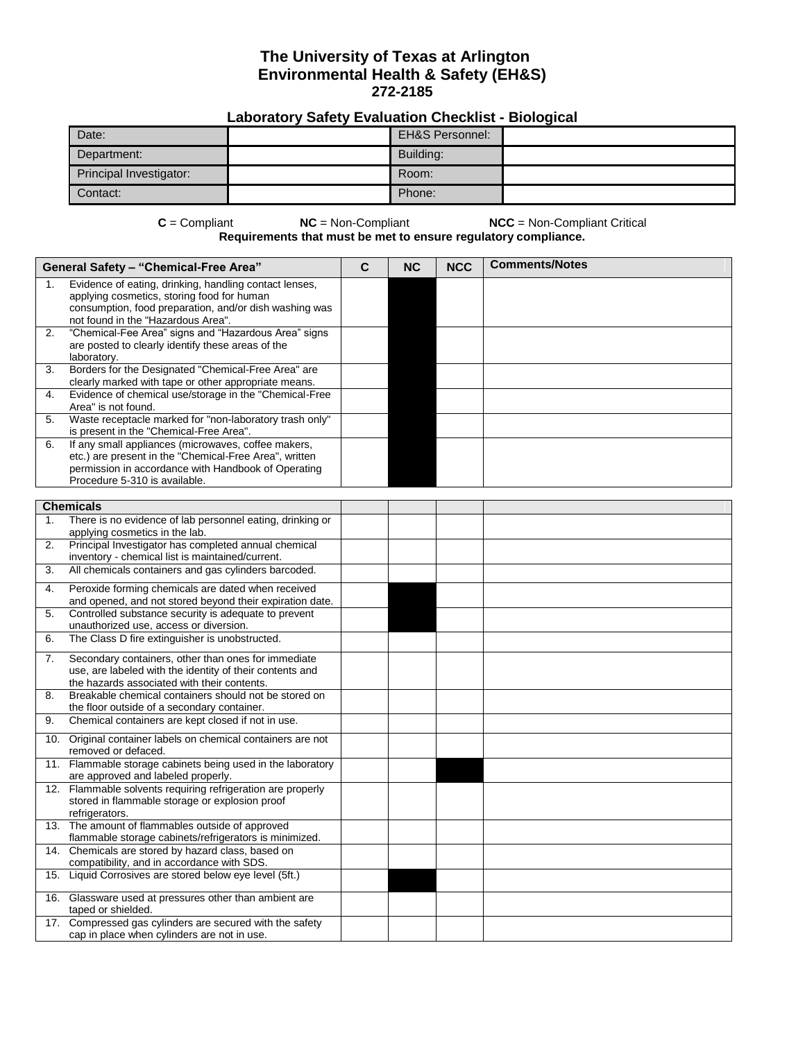## **The University of Texas at Arlington Environmental Health & Safety (EH&S) 272-2185**

## **Laboratory Safety Evaluation Checklist - Biological**

| Date:                   | <b>EH&amp;S Personnel:</b> |  |
|-------------------------|----------------------------|--|
| Department:             | Building:                  |  |
| Principal Investigator: | Room:                      |  |
| Contact:                | Phone:                     |  |

**C** = Compliant **NC** = Non-Compliant **NCC** = Non-Compliant Critical **Requirements that must be met to ensure regulatory compliance.**

| <b>General Safety - "Chemical-Free Area"</b> |                                                                                                                                                                                                       | C | <b>NC</b> | <b>NCC</b> | <b>Comments/Notes</b> |
|----------------------------------------------|-------------------------------------------------------------------------------------------------------------------------------------------------------------------------------------------------------|---|-----------|------------|-----------------------|
|                                              | Evidence of eating, drinking, handling contact lenses,<br>applying cosmetics, storing food for human<br>consumption, food preparation, and/or dish washing was<br>not found in the "Hazardous Area".  |   |           |            |                       |
| 2.                                           | "Chemical-Fee Area" signs and "Hazardous Area" signs<br>are posted to clearly identify these areas of the<br>laboratory.                                                                              |   |           |            |                       |
| 3.                                           | Borders for the Designated "Chemical-Free Area" are<br>clearly marked with tape or other appropriate means.                                                                                           |   |           |            |                       |
| 4.                                           | Evidence of chemical use/storage in the "Chemical-Free<br>Area" is not found.                                                                                                                         |   |           |            |                       |
| 5.                                           | Waste receptacle marked for "non-laboratory trash only"<br>is present in the "Chemical-Free Area".                                                                                                    |   |           |            |                       |
| 6.                                           | If any small appliances (microwaves, coffee makers,<br>etc.) are present in the "Chemical-Free Area", written<br>permission in accordance with Handbook of Operating<br>Procedure 5-310 is available. |   |           |            |                       |
|                                              | <b>Chemicals</b>                                                                                                                                                                                      |   |           |            |                       |
| 1.                                           | There is no evidence of lab personnel eating, drinking or<br>applying cosmetics in the lab.                                                                                                           |   |           |            |                       |
| 2.                                           | Principal Investigator has completed annual chemical<br>inventory - chemical list is maintained/current.                                                                                              |   |           |            |                       |
| 3.                                           | All chemicals containers and gas cylinders barcoded.                                                                                                                                                  |   |           |            |                       |
| 4.                                           | Peroxide forming chemicals are dated when received<br>and opened, and not stored beyond their expiration date.                                                                                        |   |           |            |                       |
| 5.                                           | Controlled substance security is adequate to prevent<br>unauthorized use, access or diversion.                                                                                                        |   |           |            |                       |
| 6.                                           | The Class D fire extinguisher is unobstructed.                                                                                                                                                        |   |           |            |                       |
| 7.                                           | Secondary containers, other than ones for immediate<br>use, are labeled with the identity of their contents and<br>the hazards associated with their contents.                                        |   |           |            |                       |
| 8.                                           | Breakable chemical containers should not be stored on<br>the floor outside of a secondary container.                                                                                                  |   |           |            |                       |
| 9.                                           | Chemical containers are kept closed if not in use.                                                                                                                                                    |   |           |            |                       |
|                                              | 10. Original container labels on chemical containers are not<br>removed or defaced.                                                                                                                   |   |           |            |                       |
|                                              | 11. Flammable storage cabinets being used in the laboratory<br>are approved and labeled properly.                                                                                                     |   |           |            |                       |
|                                              | 12. Flammable solvents requiring refrigeration are properly<br>stored in flammable storage or explosion proof<br>refrigerators.                                                                       |   |           |            |                       |
|                                              | 13. The amount of flammables outside of approved<br>flammable storage cabinets/refrigerators is minimized.                                                                                            |   |           |            |                       |
| 14.                                          | Chemicals are stored by hazard class, based on<br>compatibility, and in accordance with SDS.                                                                                                          |   |           |            |                       |
| 15.                                          | Liquid Corrosives are stored below eye level (5ft.)                                                                                                                                                   |   |           |            |                       |
|                                              | 16. Glassware used at pressures other than ambient are<br>taped or shielded.                                                                                                                          |   |           |            |                       |
|                                              | 17. Compressed gas cylinders are secured with the safety<br>cap in place when cylinders are not in use.                                                                                               |   |           |            |                       |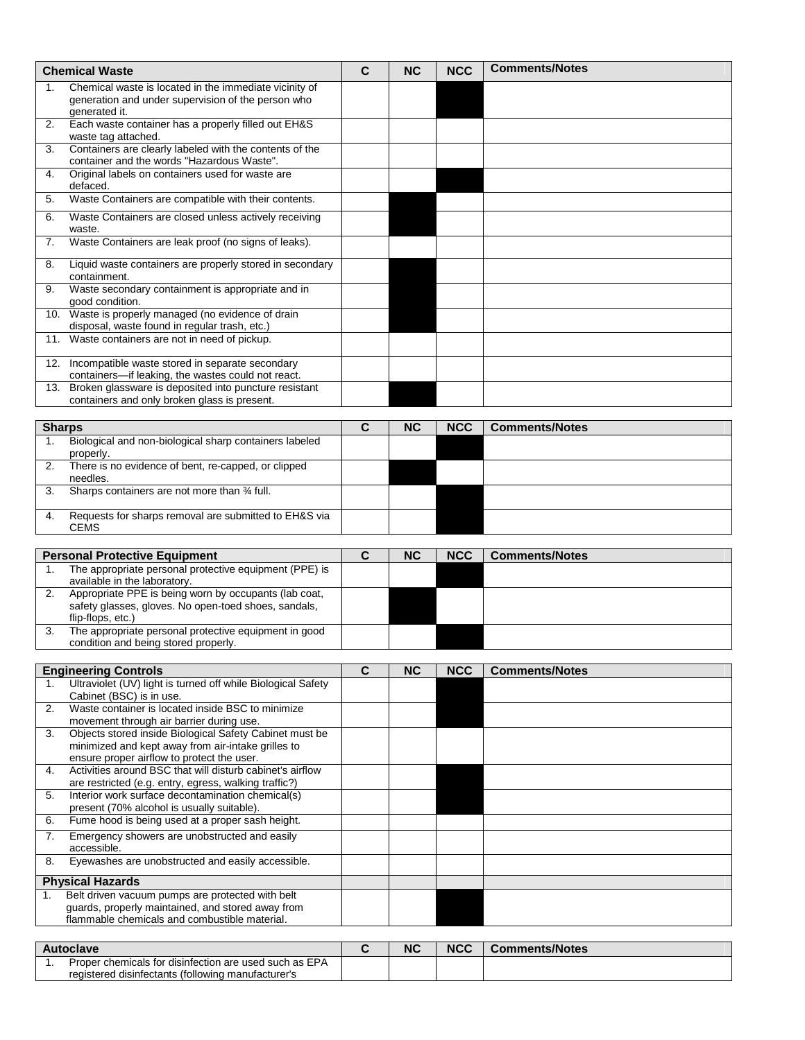| <b>Chemical Waste</b> |                                                                                                                                                             | $\mathbf c$    | <b>NC</b> | <b>NCC</b> | <b>Comments/Notes</b> |  |
|-----------------------|-------------------------------------------------------------------------------------------------------------------------------------------------------------|----------------|-----------|------------|-----------------------|--|
| 1.                    | Chemical waste is located in the immediate vicinity of<br>generation and under supervision of the person who<br>generated it.                               |                |           |            |                       |  |
| 2.                    | Each waste container has a properly filled out EH&S<br>waste tag attached.                                                                                  |                |           |            |                       |  |
| 3.                    | Containers are clearly labeled with the contents of the<br>container and the words "Hazardous Waste".                                                       |                |           |            |                       |  |
| 4.                    | Original labels on containers used for waste are<br>defaced.                                                                                                |                |           |            |                       |  |
| 5.                    | Waste Containers are compatible with their contents.                                                                                                        |                |           |            |                       |  |
| 6.                    | Waste Containers are closed unless actively receiving<br>waste.                                                                                             |                |           |            |                       |  |
| 7.                    | Waste Containers are leak proof (no signs of leaks).                                                                                                        |                |           |            |                       |  |
| 8.                    | Liquid waste containers are properly stored in secondary<br>containment.                                                                                    |                |           |            |                       |  |
| 9.                    | Waste secondary containment is appropriate and in<br>good condition.                                                                                        |                |           |            |                       |  |
|                       | 10. Waste is properly managed (no evidence of drain<br>disposal, waste found in regular trash, etc.)                                                        |                |           |            |                       |  |
|                       | 11. Waste containers are not in need of pickup.                                                                                                             |                |           |            |                       |  |
| 12.                   | Incompatible waste stored in separate secondary<br>containers-if leaking, the wastes could not react.                                                       |                |           |            |                       |  |
| 13.                   | Broken glassware is deposited into puncture resistant<br>containers and only broken glass is present.                                                       |                |           |            |                       |  |
| <b>Sharps</b>         |                                                                                                                                                             | $\mathbf{C}$   | <b>NC</b> | <b>NCC</b> | <b>Comments/Notes</b> |  |
| 1.                    | Biological and non-biological sharp containers labeled<br>properly.                                                                                         |                |           |            |                       |  |
| 2.                    | There is no evidence of bent, re-capped, or clipped<br>needles.                                                                                             |                |           |            |                       |  |
| 3.                    | Sharps containers are not more than 34 full.                                                                                                                |                |           |            |                       |  |
| 4.                    | Requests for sharps removal are submitted to EH&S via<br><b>CEMS</b>                                                                                        |                |           |            |                       |  |
|                       | <b>Personal Protective Equipment</b>                                                                                                                        | $\overline{c}$ | <b>NC</b> | <b>NCC</b> | <b>Comments/Notes</b> |  |
| 1.                    | The appropriate personal protective equipment (PPE) is<br>available in the laboratory.                                                                      |                |           |            |                       |  |
| 2.                    | Appropriate PPE is being worn by occupants (lab coat,<br>safety glasses, gloves. No open-toed shoes, sandals,<br>flip-flops, etc.)                          |                |           |            |                       |  |
| 3.                    | The appropriate personal protective equipment in good<br>condition and being stored properly.                                                               |                |           |            |                       |  |
|                       |                                                                                                                                                             |                |           |            |                       |  |
| 1.                    | <b>Engineering Controls</b><br>Ultraviolet (UV) light is turned off while Biological Safety                                                                 | C              | <b>NC</b> | <b>NCC</b> | <b>Comments/Notes</b> |  |
| 2.                    | Cabinet (BSC) is in use.<br>Waste container is located inside BSC to minimize                                                                               |                |           |            |                       |  |
|                       | movement through air barrier during use.                                                                                                                    |                |           |            |                       |  |
| 3.                    | Objects stored inside Biological Safety Cabinet must be<br>minimized and kept away from air-intake grilles to<br>ensure proper airflow to protect the user. |                |           |            |                       |  |
| 4.                    | Activities around BSC that will disturb cabinet's airflow<br>are restricted (e.g. entry, egress, walking traffic?)                                          |                |           |            |                       |  |
| 5.                    | Interior work surface decontamination chemical(s)<br>present (70% alcohol is usually suitable).                                                             |                |           |            |                       |  |
| 6.                    | Fume hood is being used at a proper sash height.                                                                                                            |                |           |            |                       |  |
| 7.                    | Emergency showers are unobstructed and easily<br>accessible.                                                                                                |                |           |            |                       |  |
| 8.                    | Eyewashes are unobstructed and easily accessible.                                                                                                           |                |           |            |                       |  |
|                       | <b>Physical Hazards</b>                                                                                                                                     |                |           |            |                       |  |
| 1.                    | Belt driven vacuum pumps are protected with belt<br>guards, properly maintained, and stored away from<br>flammable chemicals and combustible material.      |                |           |            |                       |  |
|                       |                                                                                                                                                             |                |           |            |                       |  |
| 1.                    | <b>Autoclave</b><br>Proper chemicals for disinfection are used such as EPA                                                                                  | C              | <b>NC</b> | <b>NCC</b> | <b>Comments/Notes</b> |  |
|                       | registered disinfectants (following manufacturer's                                                                                                          |                |           |            |                       |  |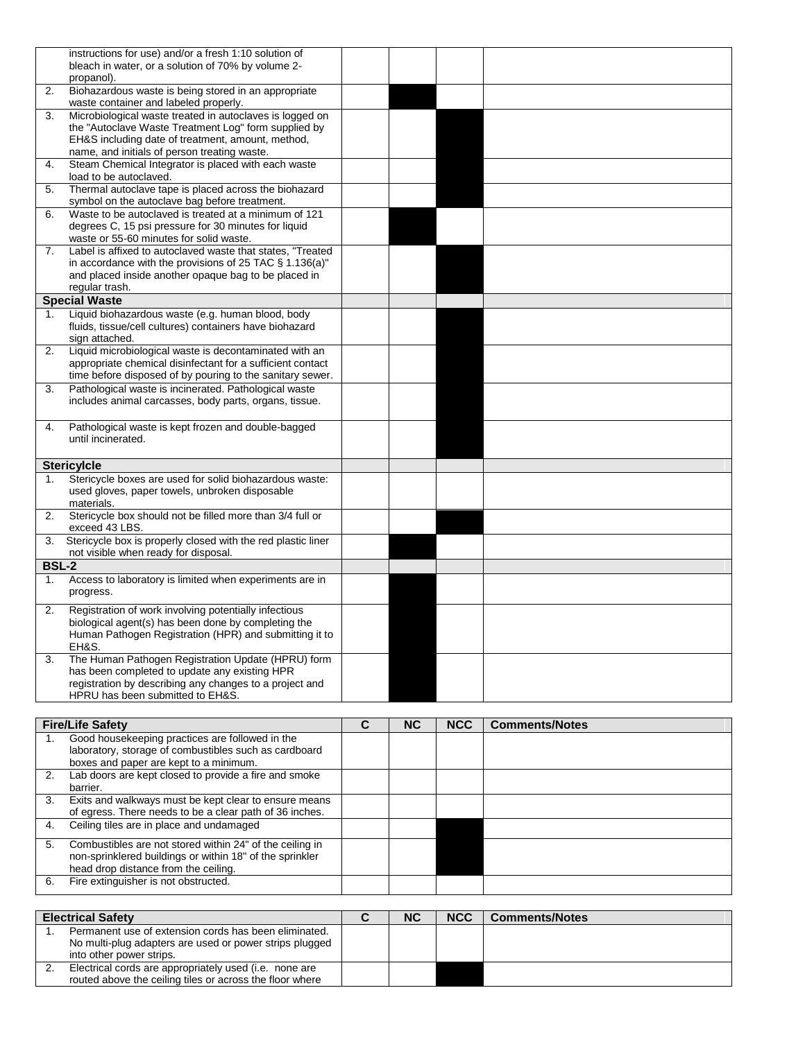|              | instructions for use) and/or a fresh 1:10 solution of<br>bleach in water, or a solution of 70% by volume 2-<br>propanol). |             |           |            |                       |
|--------------|---------------------------------------------------------------------------------------------------------------------------|-------------|-----------|------------|-----------------------|
| 2.           | Biohazardous waste is being stored in an appropriate<br>waste container and labeled properly.                             |             |           |            |                       |
| 3.           | Microbiological waste treated in autoclaves is logged on                                                                  |             |           |            |                       |
|              |                                                                                                                           |             |           |            |                       |
|              | the "Autoclave Waste Treatment Log" form supplied by                                                                      |             |           |            |                       |
|              | EH&S including date of treatment, amount, method,                                                                         |             |           |            |                       |
|              | name, and initials of person treating waste.                                                                              |             |           |            |                       |
| 4.           | Steam Chemical Integrator is placed with each waste                                                                       |             |           |            |                       |
|              | load to be autoclaved.                                                                                                    |             |           |            |                       |
|              |                                                                                                                           |             |           |            |                       |
| 5.           | Thermal autoclave tape is placed across the biohazard                                                                     |             |           |            |                       |
|              | symbol on the autoclave bag before treatment.                                                                             |             |           |            |                       |
| 6.           | Waste to be autoclaved is treated at a minimum of 121                                                                     |             |           |            |                       |
|              |                                                                                                                           |             |           |            |                       |
|              | degrees C, 15 psi pressure for 30 minutes for liquid                                                                      |             |           |            |                       |
|              | waste or 55-60 minutes for solid waste.                                                                                   |             |           |            |                       |
| 7.           | Label is affixed to autoclaved waste that states, "Treated                                                                |             |           |            |                       |
|              | in accordance with the provisions of 25 TAC § 1.136(a)"                                                                   |             |           |            |                       |
|              | and placed inside another opaque bag to be placed in                                                                      |             |           |            |                       |
|              |                                                                                                                           |             |           |            |                       |
|              | regular trash.                                                                                                            |             |           |            |                       |
|              | <b>Special Waste</b>                                                                                                      |             |           |            |                       |
| 1.           | Liquid biohazardous waste (e.g. human blood, body                                                                         |             |           |            |                       |
|              | fluids, tissue/cell cultures) containers have biohazard                                                                   |             |           |            |                       |
|              |                                                                                                                           |             |           |            |                       |
|              | sign attached.                                                                                                            |             |           |            |                       |
| 2.           | Liquid microbiological waste is decontaminated with an                                                                    |             |           |            |                       |
|              | appropriate chemical disinfectant for a sufficient contact                                                                |             |           |            |                       |
|              | time before disposed of by pouring to the sanitary sewer.                                                                 |             |           |            |                       |
|              |                                                                                                                           |             |           |            |                       |
| 3.           | Pathological waste is incinerated. Pathological waste                                                                     |             |           |            |                       |
|              | includes animal carcasses, body parts, organs, tissue.                                                                    |             |           |            |                       |
|              |                                                                                                                           |             |           |            |                       |
|              | Pathological waste is kept frozen and double-bagged                                                                       |             |           |            |                       |
| 4.           |                                                                                                                           |             |           |            |                       |
|              | until incinerated.                                                                                                        |             |           |            |                       |
|              |                                                                                                                           |             |           |            |                       |
|              | <b>Stericylcle</b>                                                                                                        |             |           |            |                       |
|              |                                                                                                                           |             |           |            |                       |
| 1.           | Stericycle boxes are used for solid biohazardous waste:                                                                   |             |           |            |                       |
|              | used gloves, paper towels, unbroken disposable                                                                            |             |           |            |                       |
|              | materials.                                                                                                                |             |           |            |                       |
| 2.           | Stericycle box should not be filled more than 3/4 full or                                                                 |             |           |            |                       |
|              | exceed 43 LBS.                                                                                                            |             |           |            |                       |
|              |                                                                                                                           |             |           |            |                       |
| 3.           | Stericycle box is properly closed with the red plastic liner                                                              |             |           |            |                       |
|              | not visible when ready for disposal.                                                                                      |             |           |            |                       |
| <b>BSL-2</b> |                                                                                                                           |             |           |            |                       |
|              |                                                                                                                           |             |           |            |                       |
| 1.           | Access to laboratory is limited when experiments are in                                                                   |             |           |            |                       |
|              | progress.                                                                                                                 |             |           |            |                       |
|              |                                                                                                                           |             |           |            |                       |
| 2.           | Registration of work involving potentially infectious                                                                     |             |           |            |                       |
|              | biological agent(s) has been done by completing the                                                                       |             |           |            |                       |
|              |                                                                                                                           |             |           |            |                       |
|              | Human Pathogen Registration (HPR) and submitting it to                                                                    |             |           |            |                       |
|              |                                                                                                                           |             |           |            |                       |
|              | EH&S.                                                                                                                     |             |           |            |                       |
| 3.           | The Human Pathogen Registration Update (HPRU) form                                                                        |             |           |            |                       |
|              | has been completed to update any existing HPR                                                                             |             |           |            |                       |
|              | registration by describing any changes to a project and                                                                   |             |           |            |                       |
|              | HPRU has been submitted to EH&S.                                                                                          |             |           |            |                       |
|              |                                                                                                                           |             |           |            |                       |
|              |                                                                                                                           |             |           |            |                       |
|              | <b>Fire/Life Safety</b>                                                                                                   | $\mathbf c$ | <b>NC</b> | <b>NCC</b> | <b>Comments/Notes</b> |
| 1.           | Good housekeeping practices are followed in the                                                                           |             |           |            |                       |
|              |                                                                                                                           |             |           |            |                       |
|              | laboratory, storage of combustibles such as cardboard                                                                     |             |           |            |                       |
|              | boxes and paper are kept to a minimum.                                                                                    |             |           |            |                       |
| 2.           | Lab doors are kept closed to provide a fire and smoke                                                                     |             |           |            |                       |
|              | barrier.                                                                                                                  |             |           |            |                       |
|              |                                                                                                                           |             |           |            |                       |
| 3.           | Exits and walkways must be kept clear to ensure means                                                                     |             |           |            |                       |
|              | of egress. There needs to be a clear path of 36 inches.                                                                   |             |           |            |                       |
| 4.           | Ceiling tiles are in place and undamaged                                                                                  |             |           |            |                       |
|              |                                                                                                                           |             |           |            |                       |
| 5.           | Combustibles are not stored within 24" of the ceiling in                                                                  |             |           |            |                       |
|              | non-sprinklered buildings or within 18" of the sprinkler                                                                  |             |           |            |                       |
|              | head drop distance from the ceiling.                                                                                      |             |           |            |                       |
|              |                                                                                                                           |             |           |            |                       |
| 6.           | Fire extinguisher is not obstructed.                                                                                      |             |           |            |                       |
|              |                                                                                                                           |             |           |            |                       |

| <b>Electrical Safety</b> |                                                                                                                    | <b>NC</b> | <b>NCC</b> | <b>Comments/Notes</b> |
|--------------------------|--------------------------------------------------------------------------------------------------------------------|-----------|------------|-----------------------|
|                          | Permanent use of extension cords has been eliminated.                                                              |           |            |                       |
|                          | No multi-plug adapters are used or power strips plugged<br>into other power strips.                                |           |            |                       |
| <u>.</u>                 | Electrical cords are appropriately used (i.e. none are<br>routed above the ceiling tiles or across the floor where |           |            |                       |